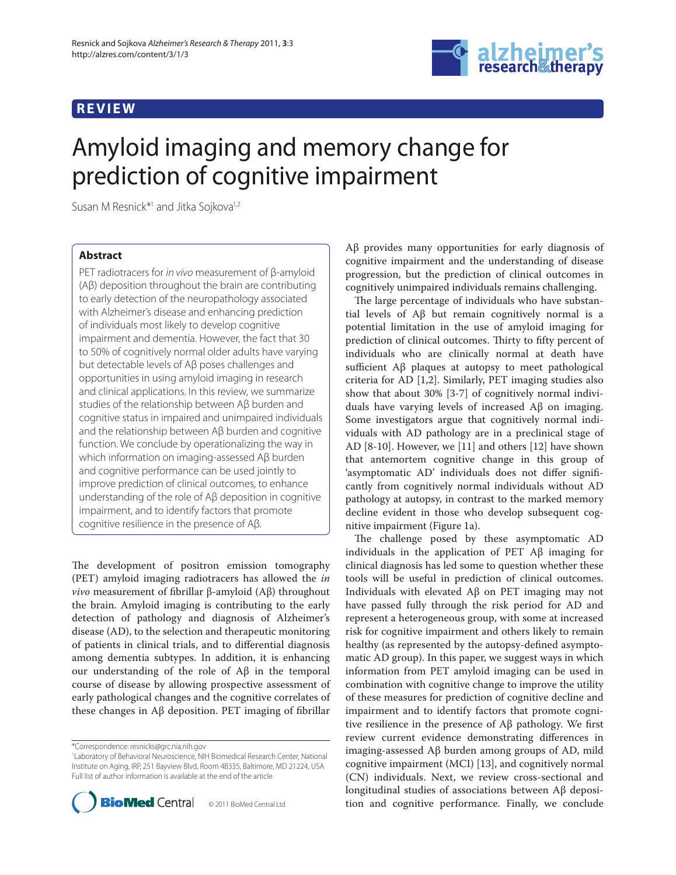## **REVIEW**



# Amyloid imaging and memory change for prediction of cognitive impairment

Susan M Resnick<sup>\*1</sup> and Jitka Sojkova<sup>1,2</sup>

## **Abstract**

PET radiotracers for in vivo measurement of β-amyloid (Aβ) deposition throughout the brain are contributing to early detection of the neuropathology associated with Alzheimer's disease and enhancing prediction of individuals most likely to develop cognitive impairment and dementia. However, the fact that 30 to 50% of cognitively normal older adults have varying but detectable levels of Aβ poses challenges and opportunities in using amyloid imaging in research and clinical applications. In this review, we summarize studies of the relationship between Aβ burden and cognitive status in impaired and unimpaired individuals and the relationship between Aβ burden and cognitive function. We conclude by operationalizing the way in which information on imaging-assessed Aβ burden and cognitive performance can be used jointly to improve prediction of clinical outcomes, to enhance understanding of the role of Aβ deposition in cognitive impairment, and to identify factors that promote cognitive resilience in the presence of Aβ.

The development of positron emission tomography (PET) amyloid imaging radiotracers has allowed the *in vivo* measurement of fibrillar β-amyloid (Aβ) throughout the brain. Amyloid imaging is contributing to the early detection of pathology and diagnosis of Alzheimer's disease (AD), to the selection and therapeutic monitoring of patients in clinical trials, and to differential diagnosis among dementia subtypes. In addition, it is enhancing our understanding of the role of Aβ in the temporal course of disease by allowing prospective assessment of early pathological changes and the cognitive correlates of these changes in  $\mathsf{A}\beta$  deposition. PET imaging of fibrillar

<sup>1</sup> Laboratory of Behavioral Neuroscience, NIH Biomedical Research Center, National Institute on Aging, IRP, 251 Bayview Blvd, Room 4B335, Baltimore, MD 21224, USA Full list of author information is available at the end of the article



Aβ provides many opportunities for early diagnosis of cognitive impairment and the understanding of disease progression, but the prediction of clinical outcomes in cognitively unimpaired individuals remains challenging.

The large percentage of individuals who have substantial levels of Aβ but remain cognitively normal is a potential limitation in the use of amyloid imaging for prediction of clinical outcomes. Thirty to fifty percent of individuals who are clinically normal at death have sufficient  $\Delta\beta$  plaques at autopsy to meet pathological criteria for AD [1,2]. Similarly, PET imaging studies also show that about 30% [3-7] of cognitively normal individuals have varying levels of increased Aβ on imaging. Some investigators argue that cognitively normal individuals with AD pathology are in a preclinical stage of AD [8-10]. However, we [11] and others [12] have shown that antemortem cognitive change in this group of 'asymptomatic AD' individuals does not differ significantly from cognitively normal individuals without AD pathology at autopsy, in contrast to the marked memory decline evident in those who develop subsequent cognitive impairment (Figure 1a).

The challenge posed by these asymptomatic AD individuals in the application of PET Aβ imaging for clinical diagnosis has led some to question whether these tools will be useful in prediction of clinical outcomes. Individuals with elevated Aβ on PET imaging may not have passed fully through the risk period for AD and represent a heterogeneous group, with some at increased risk for cognitive impairment and others likely to remain healthy (as represented by the autopsy-defined asymptomatic AD group). In this paper, we suggest ways in which information from PET amyloid imaging can be used in combination with cognitive change to improve the utility of these measures for prediction of cognitive decline and impairment and to identify factors that promote cognitive resilience in the presence of  $\mathcal{A}\beta$  pathology. We first review current evidence demonstrating differences in imaging-assessed Aβ burden among groups of AD, mild cognitive impairment (MCI) [13], and cognitively normal (CN) individuals. Next, we review cross-sectional and longitudinal studies of associations between Aβ deposition and cognitive performance. Finally, we conclude

<sup>\*</sup>Correspondence: resnicks@grc.nia.nih.gov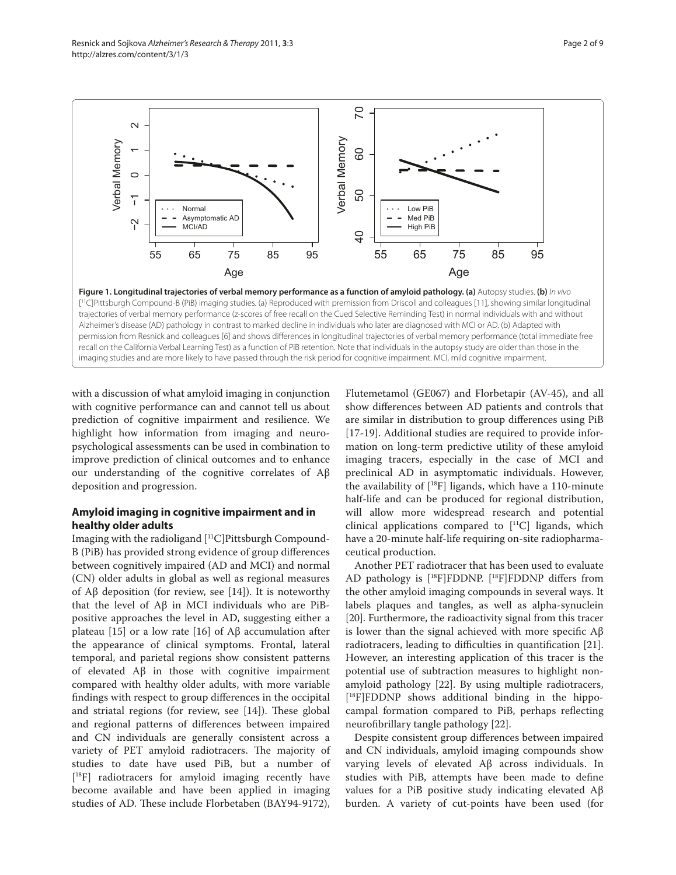

with a discussion of what amyloid imaging in conjunction with cognitive performance can and cannot tell us about prediction of cognitive impairment and resilience. We highlight how information from imaging and neuropsychological assessments can be used in combination to improve prediction of clinical outcomes and to enhance our understanding of the cognitive correlates of Aβ deposition and progression.

## **Amyloid imaging in cognitive impairment and in healthy older adults**

Imaging with the radioligand [11C]Pittsburgh Compound-B (PiB) has provided strong evidence of group differences between cognitively impaired (AD and MCI) and normal (CN) older adults in global as well as regional measures of  $\text{A}\beta$  deposition (for review, see [14]). It is noteworthy that the level of Aβ in MCI individuals who are PiBpositive approaches the level in AD, suggesting either a plateau [15] or a low rate [16] of  $\text{A}\beta$  accumulation after the appearance of clinical symptoms. Frontal, lateral temporal, and parietal regions show consistent patterns of elevated Aβ in those with cognitive impairment compared with healthy older adults, with more variable findings with respect to group differences in the occipital and striatal regions (for review, see  $[14]$ ). These global and regional patterns of differences between impaired and CN individuals are generally consistent across a variety of PET amyloid radiotracers. The majority of studies to date have used PiB, but a number of [ 18F] radiotracers for amyloid imaging recently have become available and have been applied in imaging studies of AD. These include Florbetaben (BAY94-9172),

Flutemetamol (GE067) and Florbetapir (AV-45), and all show differences between AD patients and controls that are similar in distribution to group differences using PiB [17-19]. Additional studies are required to provide information on long-term predictive utility of these amyloid imaging tracers, especially in the case of MCI and preclinical AD in asymptomatic individuals. However, the availability of [18F] ligands, which have a 110-minute half-life and can be produced for regional distribution, will allow more widespread research and potential clinical applications compared to  $[$ <sup>11</sup>C $]$  ligands, which have a 20-minute half-life requiring on-site radiopharmaceutical production.

Another PET radiotracer that has been used to evaluate AD pathology is  $[$ <sup>18</sup>F]FDDNP.  $[$ <sup>18</sup>F]FDDNP differs from the other amyloid imaging compounds in several ways. It labels plaques and tangles, as well as alpha-synuclein [20]. Furthermore, the radioactivity signal from this tracer is lower than the signal achieved with more specific  $Aβ$ radiotracers, leading to difficulties in quantification [21]. However, an interesting application of this tracer is the potential use of subtraction measures to highlight nonamyloid pathology [22]. By using multiple radiotracers, [ 18F]FDDNP shows additional binding in the hippocampal formation compared to PiB, perhaps reflecting neurofibrillary tangle pathology [22].

Despite consistent group differences between impaired and CN individuals, amyloid imaging compounds show varying levels of elevated Aβ across individuals. In studies with PiB, attempts have been made to define values for a PiB positive study indicating elevated Aβ burden. A variety of cut-points have been used (for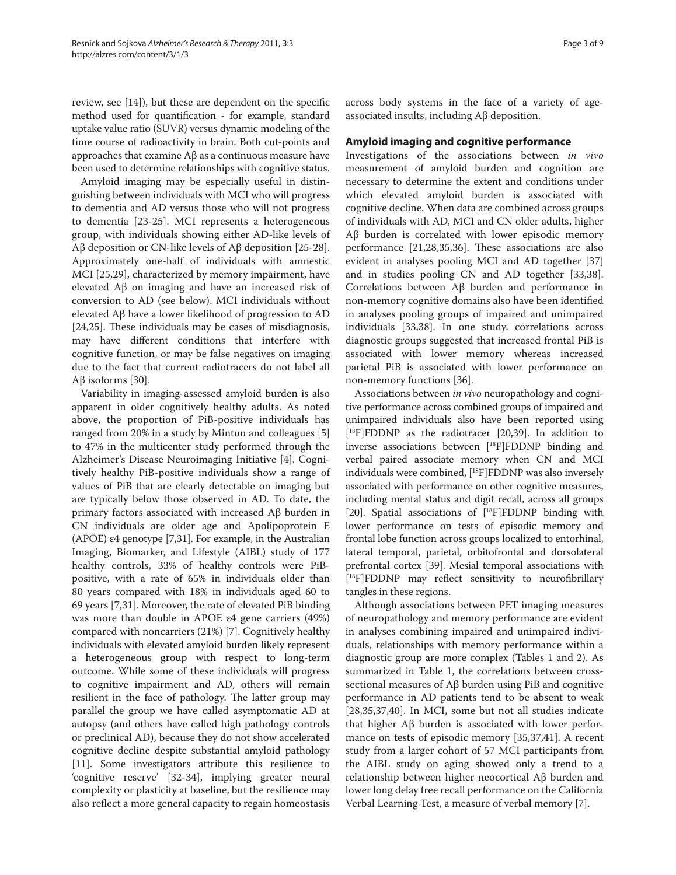review, see  $[14]$ ), but these are dependent on the specific method used for quantification - for example, standard uptake value ratio (SUVR) versus dynamic modeling of the time course of radioactivity in brain. Both cut-points and approaches that examine Aβ as a continuous measure have been used to determine relationships with cognitive status.

Amyloid imaging may be especially useful in distinguishing between individuals with MCI who will progress to dementia and AD versus those who will not progress to dementia [23-25]. MCI represents a heterogeneous group, with individuals showing either AD-like levels of Aβ deposition or CN-like levels of Aβ deposition [25-28]. Approximately one-half of individuals with amnestic MCI [25,29], characterized by memory impairment, have elevated Aβ on imaging and have an increased risk of conversion to AD (see below). MCI individuals without elevated Aβ have a lower likelihood of progression to AD  $[24,25]$ . These individuals may be cases of misdiagnosis, may have different conditions that interfere with cognitive function, or may be false negatives on imaging due to the fact that current radiotracers do not label all Aβ isoforms [30].

Variability in imaging-assessed amyloid burden is also apparent in older cognitively healthy adults. As noted above, the proportion of PiB-positive individuals has ranged from 20% in a study by Mintun and colleagues [5] to 47% in the multicenter study performed through the Alzheimer's Disease Neuroimaging Initiative [4]. Cognitively healthy PiB-positive individuals show a range of values of PiB that are clearly detectable on imaging but are typically below those observed in AD. To date, the primary factors associated with increased Aβ burden in CN individuals are older age and Apolipoprotein E (APOE) ε4 genotype [7,31]. For example, in the Australian Imaging, Biomarker, and Lifestyle (AIBL) study of 177 healthy controls, 33% of healthy controls were PiBpositive, with a rate of 65% in individuals older than 80 years compared with 18% in individuals aged 60 to 69 years [7,31]. Moreover, the rate of elevated PiB binding was more than double in APOE ε4 gene carriers (49%) compared with noncarriers (21%) [7]. Cognitively healthy individuals with elevated amyloid burden likely represent a heterogeneous group with respect to long-term outcome. While some of these individuals will progress to cognitive impairment and AD, others will remain resilient in the face of pathology. The latter group may parallel the group we have called asymptomatic AD at autopsy (and others have called high pathology controls or preclinical AD), because they do not show accelerated cognitive decline despite substantial amyloid pathology [11]. Some investigators attribute this resilience to 'cognitive reserve' [32-34], implying greater neural complexity or plasticity at baseline, but the resilience may also reflect a more general capacity to regain homeostasis across body systems in the face of a variety of ageassociated insults, including Aβ deposition.

## **Amyloid imaging and cognitive performance**

Investigations of the associations between *in vivo* measurement of amyloid burden and cognition are neces sary to determine the extent and conditions under which elevated amyloid burden is associated with cognitive decline. When data are combined across groups of individuals with AD, MCI and CN older adults, higher Aβ burden is correlated with lower episodic memory performance  $[21,28,35,36]$ . These associations are also evident in analyses pooling MCI and AD together [37] and in studies pooling CN and AD together [33,38]. Correlations between Aβ burden and performance in non-memory cognitive domains also have been identified in analyses pooling groups of impaired and unimpaired individuals [33,38]. In one study, correlations across diagnostic groups suggested that increased frontal PiB is associated with lower memory whereas increased parietal PiB is associated with lower performance on non-memory functions [36].

Associations between *in vivo* neuropathology and cognitive performance across combined groups of impaired and unimpaired individuals also have been reported using [ 18F]FDDNP as the radiotracer [20,39]. In addition to inverse associations between [18F]FDDNP binding and verbal paired associate memory when CN and MCI individuals were combined, [18F]FDDNP was also inversely associated with performance on other cognitive measures, including mental status and digit recall, across all groups [20]. Spatial associations of [18F]FDDNP binding with lower performance on tests of episodic memory and frontal lobe function across groups localized to entorhinal, lateral temporal, parietal, orbitofrontal and dorsolateral prefrontal cortex [39]. Mesial temporal associations with [<sup>18</sup>F]FDDNP may reflect sensitivity to neurofibrillary tangles in these regions.

Although associations between PET imaging measures of neuropathology and memory performance are evident in analyses combining impaired and unimpaired individuals, relationships with memory performance within a diagnostic group are more complex (Tables 1 and 2). As summarized in Table 1, the correlations between crosssectional measures of Aβ burden using PiB and cognitive performance in AD patients tend to be absent to weak [28,35,37,40]. In MCI, some but not all studies indicate that higher Aβ burden is associated with lower performance on tests of episodic memory [35,37,41]. A recent study from a larger cohort of 57 MCI participants from the AIBL study on aging showed only a trend to a relationship between higher neocortical Aβ burden and lower long delay free recall performance on the California Verbal Learning Test, a measure of verbal memory [7].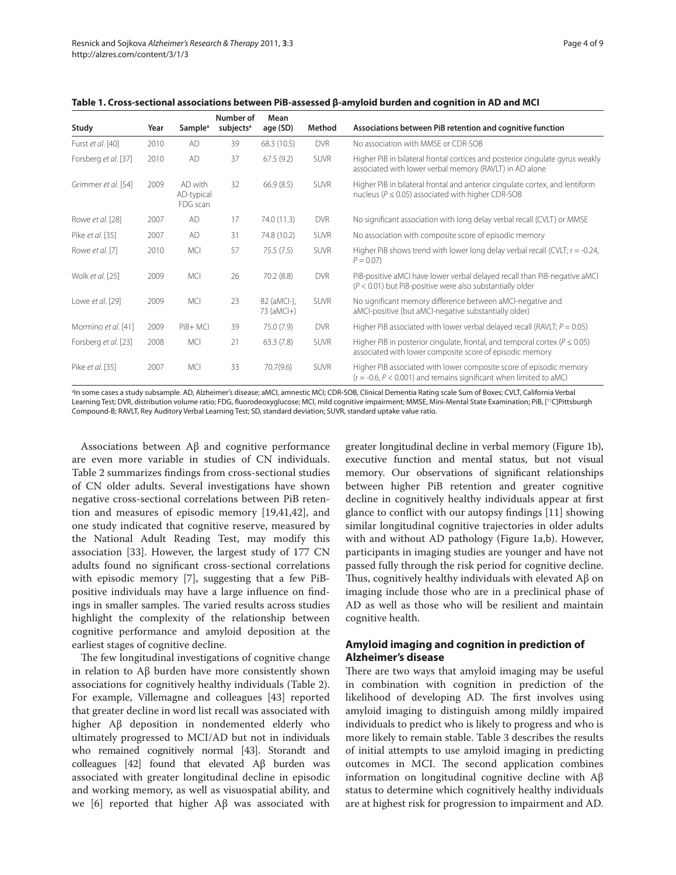| Study                | Year | Sample <sup>a</sup>               | Number of<br>subjects <sup>a</sup> | Mean<br>age (SD)          | Method      | Associations between PiB retention and cognitive function                                                                                    |
|----------------------|------|-----------------------------------|------------------------------------|---------------------------|-------------|----------------------------------------------------------------------------------------------------------------------------------------------|
| Furst et al. [40]    | 2010 | <b>AD</b>                         | 39                                 | 68.3 (10.5)               | <b>DVR</b>  | No association with MMSE or CDR-SOB                                                                                                          |
| Forsberg et al. [37] | 2010 | AD                                | 37                                 | 67.5(9.2)                 | <b>SUVR</b> | Higher PiB in bilateral frontal cortices and posterior cingulate gyrus weakly<br>associated with lower verbal memory (RAVLT) in AD alone     |
| Grimmer et al. [54]  | 2009 | AD with<br>AD-typical<br>FDG scan | 32                                 | 66.9(8.5)                 | <b>SUVR</b> | Higher PiB in bilateral frontal and anterior cingulate cortex, and lentiform<br>nucleus ( $P \le 0.05$ ) associated with higher CDR-SOB      |
| Rowe et al. [28]     | 2007 | AD                                | 17                                 | 74.0 (11.3)               | <b>DVR</b>  | No significant association with long delay verbal recall (CVLT) or MMSE                                                                      |
| Pike et al. [35]     | 2007 | AD                                | 31                                 | 74.8 (10.2)               | <b>SUVR</b> | No association with composite score of episodic memory                                                                                       |
| Rowe et al. [7]      | 2010 | <b>MCI</b>                        | 57                                 | 75.5(7.5)                 | <b>SUVR</b> | Higher PiB shows trend with lower long delay verbal recall (CVLT; $r = -0.24$ ,<br>$P = 0.07$                                                |
| Wolk et al. [25]     | 2009 | <b>MCI</b>                        | 26                                 | 70.2(8.8)                 | <b>DVR</b>  | PiB-positive aMCI have lower verbal delayed recall than PiB-negative aMCI<br>$(P < 0.01)$ but PiB-positive were also substantially older     |
| Lowe et al. [29]     | 2009 | <b>MCI</b>                        | 23                                 | 82 (aMCI-),<br>73 (aMCI+) | <b>SUVR</b> | No significant memory difference between aMCI-negative and<br>aMCI-positive (but aMCI-negative substantially older)                          |
| Mormino et al. [41]  | 2009 | PiB+ MCI                          | 39                                 | 75.0 (7.9)                | <b>DVR</b>  | Higher PiB associated with lower verbal delayed recall (RAVLT; $P = 0.05$ )                                                                  |
| Forsberg et al. [23] | 2008 | <b>MCI</b>                        | 21                                 | 63.3(7.8)                 | <b>SUVR</b> | Higher PiB in posterior cingulate, frontal, and temporal cortex ( $P \le 0.05$ )<br>associated with lower composite score of episodic memory |
| Pike et al. [35]     | 2007 | <b>MCI</b>                        | 33                                 | 70.7(9.6)                 | <b>SUVR</b> | Higher PiB associated with lower composite score of episodic memory<br>$(r = -0.6, P < 0.001)$ and remains significant when limited to aMCI  |

**Table 1. Cross-sectional associations between PiB-assessed β-amyloid burden and cognition in AD and MCI**

a In some cases a study subsample. AD, Alzheimer's disease; aMCI, amnestic MCI; CDR-SOB, Clinical Dementia Rating scale Sum of Boxes; CVLT, California Verbal Learning Test; DVR, distribution volume ratio; FDG, fluorodeoxyglucose; MCI, mild cognitive impairment; MMSE, Mini-Mental State Examination; PiB, [11C]Pittsburgh Compound-B; RAVLT, Rey Auditory Verbal Learning Test; SD, standard deviation; SUVR, standard uptake value ratio.

Associations between Aβ and cognitive performance are even more variable in studies of CN individuals. Table 2 summarizes findings from cross-sectional studies of CN older adults. Several investigations have shown negative cross-sectional correlations between PiB retention and measures of episodic memory [19,41,42], and one study indicated that cognitive reserve, measured by the National Adult Reading Test, may modify this association [33]. However, the largest study of 177 CN adults found no significant cross-sectional correlations with episodic memory [7], suggesting that a few PiBpositive individuals may have a large influence on findings in smaller samples. The varied results across studies highlight the complexity of the relationship between cognitive performance and amyloid deposition at the earliest stages of cognitive decline.

The few longitudinal investigations of cognitive change in relation to Aβ burden have more consistently shown associations for cognitively healthy individuals (Table 2). For example, Villemagne and colleagues [43] reported that greater decline in word list recall was associated with higher Aβ deposition in nondemented elderly who ultimately progressed to MCI/AD but not in individuals who remained cognitively normal [43]. Storandt and colleagues [42] found that elevated  $\text{A}\beta$  burden was associated with greater longitudinal decline in episodic and working memory, as well as visuospatial ability, and we [6] reported that higher Aβ was associated with

greater longitudinal decline in verbal memory (Figure 1b), executive function and mental status, but not visual memory. Our observations of significant relationships between higher PiB retention and greater cognitive decline in cognitively healthy individuals appear at first glance to conflict with our autopsy findings  $[11]$  showing similar longitudinal cognitive trajectories in older adults with and without AD pathology (Figure 1a,b). However, participants in imaging studies are younger and have not passed fully through the risk period for cognitive decline. Thus, cognitively healthy individuals with elevated  $\mathbf{A}\mathbf{\beta}$  on imaging include those who are in a preclinical phase of AD as well as those who will be resilient and maintain cognitive health.

## **Amyloid imaging and cognition in prediction of Alzheimer's disease**

There are two ways that amyloid imaging may be useful in combination with cognition in prediction of the likelihood of developing AD. The first involves using amyloid imaging to distinguish among mildly impaired individuals to predict who is likely to progress and who is more likely to remain stable. Table 3 describes the results of initial attempts to use amyloid imaging in predicting outcomes in MCI. The second application combines information on longitudinal cognitive decline with Aβ status to determine which cognitively healthy individuals are at highest risk for progression to impairment and AD.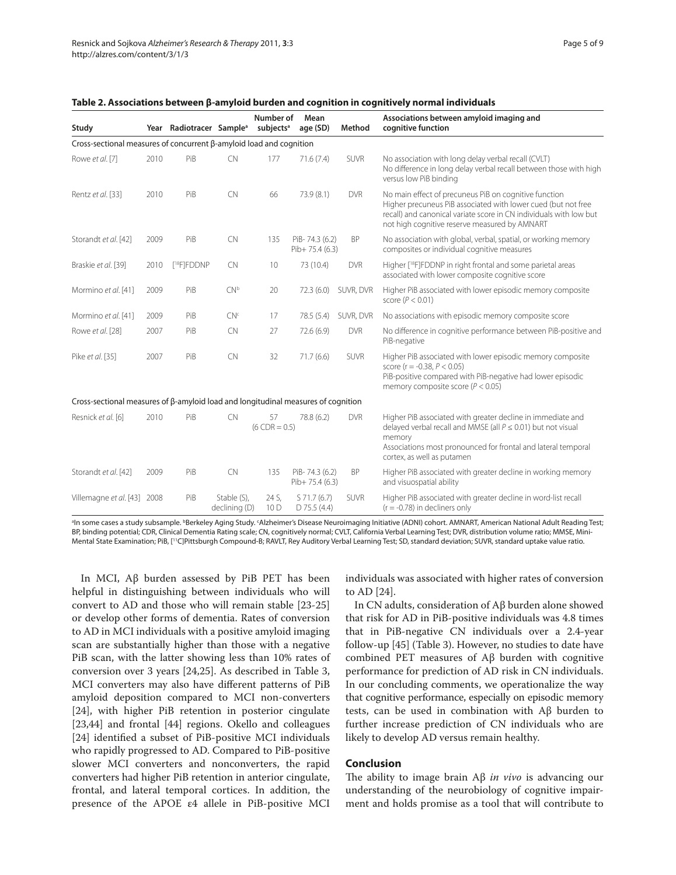| Study                                                                                    |      | Year Radiotracer Sample <sup>a</sup> |                              | Number of<br>subjects <sup>a</sup> | Mean<br>age (SD)                  | Method      | Associations between amyloid imaging and<br>cognitive function                                                                                                                                                                                |
|------------------------------------------------------------------------------------------|------|--------------------------------------|------------------------------|------------------------------------|-----------------------------------|-------------|-----------------------------------------------------------------------------------------------------------------------------------------------------------------------------------------------------------------------------------------------|
| Cross-sectional measures of concurrent β-amyloid load and cognition                      |      |                                      |                              |                                    |                                   |             |                                                                                                                                                                                                                                               |
| Rowe et al. [7]                                                                          | 2010 | PiB                                  | <b>CN</b>                    | 177                                | 71.6(7.4)                         | <b>SUVR</b> | No association with long delay verbal recall (CVLT)<br>No difference in long delay verbal recall between those with high<br>versus low PiB binding                                                                                            |
| Rentz et al. [33]                                                                        | 2010 | PiB                                  | <b>CN</b>                    | 66                                 | 73.9 (8.1)                        | <b>DVR</b>  | No main effect of precuneus PiB on cognitive function<br>Higher precuneus PiB associated with lower cued (but not free<br>recall) and canonical variate score in CN individuals with low but<br>not high cognitive reserve measured by AMNART |
| Storandt et al. [42]                                                                     | 2009 | PiB                                  | <b>CN</b>                    | 135                                | PiB-74.3 (6.2)<br>$Pib+75.4(6.3)$ | <b>BP</b>   | No association with global, verbal, spatial, or working memory<br>composites or individual cognitive measures                                                                                                                                 |
| Braskie et al. [39]                                                                      | 2010 | [ <sup>18</sup> F]FDDNP              | <b>CN</b>                    | 10                                 | 73 (10.4)                         | <b>DVR</b>  | Higher [ <sup>18</sup> F]FDDNP in right frontal and some parietal areas<br>associated with lower composite cognitive score                                                                                                                    |
| Mormino et al. [41]                                                                      | 2009 | PiB                                  | CN <sup>b</sup>              | 20                                 | 72.3(6.0)                         | SUVR, DVR   | Higher PiB associated with lower episodic memory composite<br>score ( $P < 0.01$ )                                                                                                                                                            |
| Mormino et al. [41]                                                                      | 2009 | PiB                                  | CN <sup>c</sup>              | 17                                 | 78.5 (5.4)                        | SUVR, DVR   | No associations with episodic memory composite score                                                                                                                                                                                          |
| Rowe et al. [28]                                                                         | 2007 | PiB                                  | <b>CN</b>                    | 27                                 | 72.6 (6.9)                        | <b>DVR</b>  | No difference in cognitive performance between PiB-positive and<br>PiB-negative                                                                                                                                                               |
| Pike et al. [35]                                                                         | 2007 | PiB                                  | <b>CN</b>                    | 32                                 | 71.7(6.6)                         | SUVR        | Higher PiB associated with lower episodic memory composite<br>score ( $r = -0.38$ , $P < 0.05$ )<br>PiB-positive compared with PiB-negative had lower episodic<br>memory composite score ( $P < 0.05$ )                                       |
| Cross-sectional measures of $\beta$ -amyloid load and longitudinal measures of cognition |      |                                      |                              |                                    |                                   |             |                                                                                                                                                                                                                                               |
| Resnick et al. [6]                                                                       | 2010 | PiB                                  | <b>CN</b>                    | 57<br>$(6$ CDR = 0.5)              | 78.8 (6.2)                        | <b>DVR</b>  | Higher PiB associated with greater decline in immediate and<br>delayed verbal recall and MMSE (all $P \le 0.01$ ) but not visual<br>memory<br>Associations most pronounced for frontal and lateral temporal<br>cortex, as well as putamen     |
| Storandt et al. [42]                                                                     | 2009 | PiB                                  | <b>CN</b>                    | 135                                | PiB-74.3 (6.2)<br>$Pib+75.4(6.3)$ | <b>BP</b>   | Higher PiB associated with greater decline in working memory<br>and visuospatial ability                                                                                                                                                      |
| Villemagne et al. [43] 2008                                                              |      | PiB                                  | Stable (S),<br>declining (D) | 24 S,<br>10 D                      | S 71.7 (6.7)<br>$D$ 75.5 (4.4)    | SUVR        | Higher PiB associated with greater decline in word-list recall<br>$(r = -0.78)$ in decliners only                                                                                                                                             |

**Table 2. Associations between β-amyloid burden and cognition in cognitively normal individuals** 

<sup>a</sup>ln some cases a study subsample. <sup>b</sup>Berkeley Aging Study. ʿAlzheimer's Disease Neuroimaging Initiative (ADNI) cohort. AMNART, American National Adult Reading Test; BP, binding potential; CDR, Clinical Dementia Rating scale; CN, cognitively normal; CVLT, California Verbal Learning Test; DVR, distribution volume ratio; MMSE, Mini-Mental State Examination; PiB, [11C]Pittsburgh Compound-B; RAVLT, Rey Auditory Verbal Learning Test; SD, standard deviation; SUVR, standard uptake value ratio.

In MCI, Aβ burden assessed by PiB PET has been helpful in distinguishing between individuals who will convert to AD and those who will remain stable [23-25] or develop other forms of dementia. Rates of conversion to AD in MCI individuals with a positive amyloid imaging scan are substantially higher than those with a negative PiB scan, with the latter showing less than 10% rates of conversion over 3 years [24,25]. As described in Table 3, MCI converters may also have different patterns of PiB amyloid deposition compared to MCI non-converters [24], with higher PiB retention in posterior cingulate [23,44] and frontal [44] regions. Okello and colleagues [24] identified a subset of PiB-positive MCI individuals who rapidly progressed to AD. Compared to PiB-positive slower MCI converters and nonconverters, the rapid converters had higher PiB retention in anterior cingulate, frontal, and lateral temporal cortices. In addition, the presence of the APOE ε4 allele in PiB-positive MCI individuals was associated with higher rates of conversion to AD [24].

In CN adults, consideration of Aβ burden alone showed that risk for AD in PiB-positive individuals was 4.8 times that in PiB-negative CN individuals over a 2.4-year follow-up [45] (Table 3). However, no studies to date have combined PET measures of Aβ burden with cognitive performance for prediction of AD risk in CN individuals. In our concluding comments, we operationalize the way that cognitive performance, especially on episodic memory tests, can be used in combination with Aβ burden to further increase prediction of CN individuals who are likely to develop AD versus remain healthy.

### **Conclusion**

The ability to image brain Aβ *in vivo* is advancing our understanding of the neurobiology of cognitive impairment and holds promise as a tool that will contribute to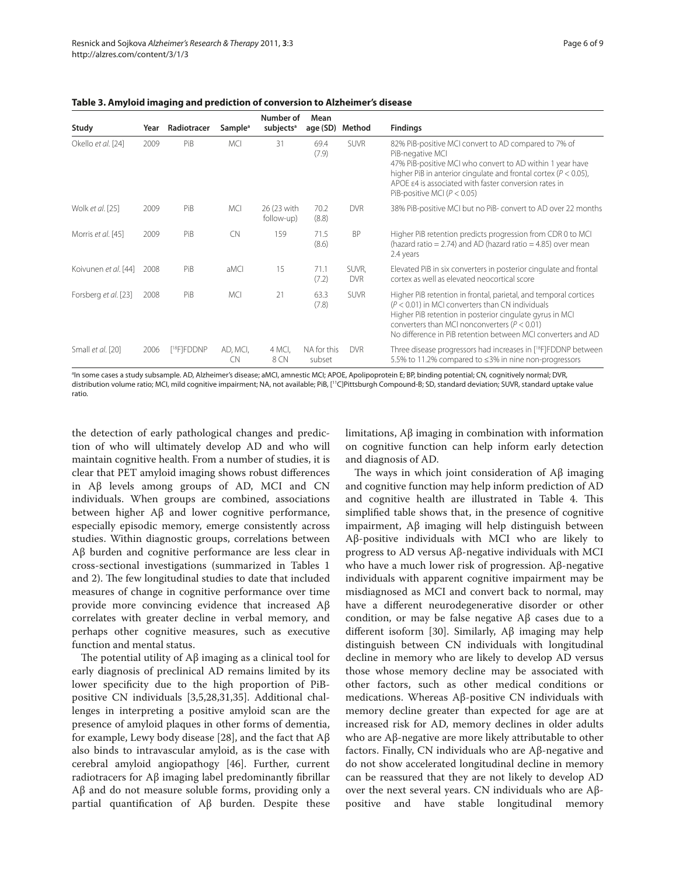| Study                | Year | Radiotracer             | Sample <sup>a</sup> | Number of<br>subjects <sup>a</sup> | Mean<br>age (SD)      | Method              | <b>Findings</b>                                                                                                                                                                                                                                                                                                       |
|----------------------|------|-------------------------|---------------------|------------------------------------|-----------------------|---------------------|-----------------------------------------------------------------------------------------------------------------------------------------------------------------------------------------------------------------------------------------------------------------------------------------------------------------------|
| Okello et al. [24]   | 2009 | PiB                     | <b>MCI</b>          | 31                                 | 69.4<br>(7.9)         | <b>SUVR</b>         | 82% PiB-positive MCI convert to AD compared to 7% of<br>PiB-negative MCI<br>47% PiB-positive MCI who convert to AD within 1 year have<br>higher PiB in anterior cingulate and frontal cortex ( $P < 0.05$ ),<br>APOE $\varepsilon$ 4 is associated with faster conversion rates in<br>PiB-positive MCI ( $P < 0.05$ ) |
| Wolk et al. [25]     | 2009 | PiB                     | <b>MCI</b>          | 26 (23 with<br>follow-up)          | 70.2<br>(8.8)         | <b>DVR</b>          | 38% PiB-positive MCI but no PiB- convert to AD over 22 months                                                                                                                                                                                                                                                         |
| Morris et al. [45]   | 2009 | PiB                     | <b>CN</b>           | 159                                | 71.5<br>(8.6)         | <b>BP</b>           | Higher PiB retention predicts progression from CDR 0 to MCI<br>(hazard ratio = 2.74) and AD (hazard ratio = 4.85) over mean<br>2.4 years                                                                                                                                                                              |
| Koivunen et al. [44] | 2008 | PiB                     | aMCI                | 15                                 | 71.1<br>(7.2)         | SUVR,<br><b>DVR</b> | Elevated PiB in six converters in posterior cingulate and frontal<br>cortex as well as elevated neocortical score                                                                                                                                                                                                     |
| Forsberg et al. [23] | 2008 | PiB                     | <b>MCI</b>          | 21                                 | 63.3<br>(7.8)         | <b>SUVR</b>         | Higher PiB retention in frontal, parietal, and temporal cortices<br>$(P < 0.01)$ in MCI converters than CN individuals<br>Higher PiB retention in posterior cingulate gyrus in MCI<br>converters than MCI nonconverters ( $P < 0.01$ )<br>No difference in PiB retention between MCI converters and AD                |
| Small et al. [20]    | 2006 | [ <sup>18</sup> F]FDDNP | AD, MCI,<br>CN      | 4 MCI,<br>8 CN                     | NA for this<br>subset | <b>DVR</b>          | Three disease progressors had increases in [ <sup>18</sup> F]FDDNP between<br>5.5% to 11.2% compared to ≤3% in nine non-progressors                                                                                                                                                                                   |

**Table 3. Amyloid imaging and prediction of conversion to Alzheimer's disease**

a In some cases a study subsample. AD, Alzheimer's disease; aMCI, amnestic MCI; APOE, Apolipoprotein E; BP, binding potential; CN, cognitively normal; DVR, distribution volume ratio; MCI, mild cognitive impairment; NA, not available; PiB, [<sup>11</sup>C]Pittsburgh Compound-B; SD, standard deviation; SUVR, standard uptake value ratio.

the detection of early pathological changes and prediction of who will ultimately develop AD and who will maintain cognitive health. From a number of studies, it is clear that PET amyloid imaging shows robust differences in Aβ levels among groups of AD, MCI and CN individuals. When groups are combined, associations between higher Aβ and lower cognitive performance, especially episodic memory, emerge consistently across studies. Within diagnostic groups, correlations between Aβ burden and cognitive performance are less clear in cross-sectional investigations (summarized in Tables 1 and 2). The few longitudinal studies to date that included measures of change in cognitive performance over time provide more convincing evidence that increased Aβ correlates with greater decline in verbal memory, and perhaps other cognitive measures, such as executive function and mental status.

The potential utility of  $\mathsf{A}\beta$  imaging as a clinical tool for early diagnosis of preclinical AD remains limited by its lower specificity due to the high proportion of PiBpositive CN individuals [3,5,28,31,35]. Additional challenges in interpreting a positive amyloid scan are the presence of amyloid plaques in other forms of dementia, for example, Lewy body disease [28], and the fact that Aβ also binds to intravascular amyloid, as is the case with cerebral amyloid angiopathogy [46]. Further, current radiotracers for  $\mathbf{A}\beta$  imaging label predominantly fibrillar Aβ and do not measure soluble forms, providing only a partial quantification of  $\text{A}\beta$  burden. Despite these limitations, Aβ imaging in combination with information on cognitive function can help inform early detection and diagnosis of AD.

The ways in which joint consideration of  $\mathbf{A}\mathbf{\beta}$  imaging and cognitive function may help inform prediction of AD and cognitive health are illustrated in Table 4. This simplified table shows that, in the presence of cognitive impairment, Aβ imaging will help distinguish between Aβ-positive individuals with MCI who are likely to progress to AD versus Aβ-negative individuals with MCI who have a much lower risk of progression. Aβ-negative individuals with apparent cognitive impairment may be misdiagnosed as MCI and convert back to normal, may have a different neurodegenerative disorder or other condition, or may be false negative  $A\beta$  cases due to a different isoform [30]. Similarly,  $Aβ$  imaging may help distinguish between CN individuals with longitudinal decline in memory who are likely to develop AD versus those whose memory decline may be associated with other factors, such as other medical conditions or medications. Whereas Aβ-positive CN individuals with memory decline greater than expected for age are at increased risk for AD, memory declines in older adults who are Aβ-negative are more likely attributable to other factors. Finally, CN individuals who are Aβ-negative and do not show accelerated longitudinal decline in memory can be reassured that they are not likely to develop AD over the next several years. CN individuals who are Aβpositive and have stable longitudinal memory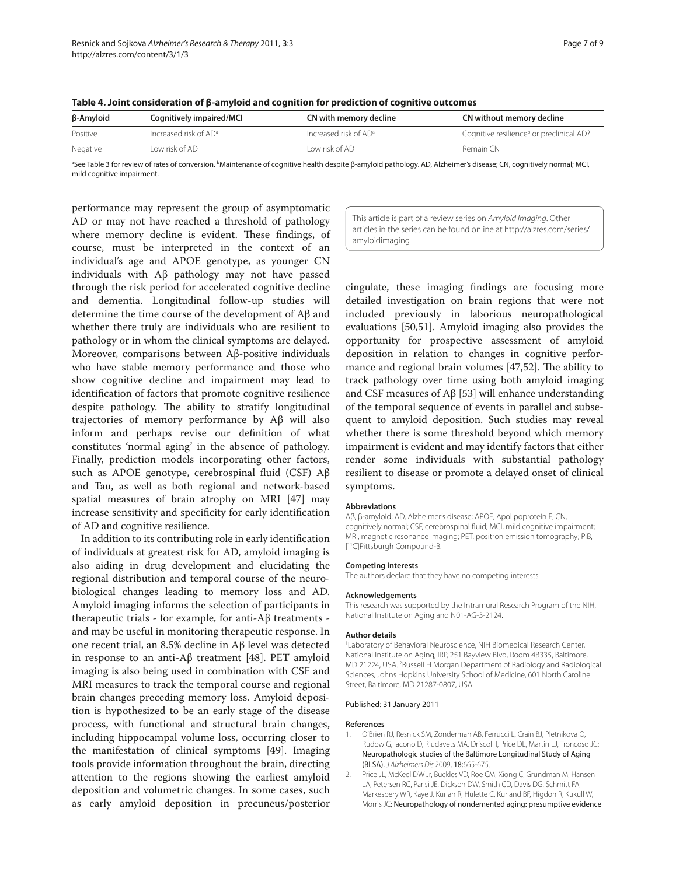| β-Amyloid | Cognitively impaired/MCI | CN with memory decline   | CN without memory decline                            |
|-----------|--------------------------|--------------------------|------------------------------------------------------|
| Positive  | Increased risk of $AD^a$ | Increased risk of $AD^a$ | Cognitive resilience <sup>b</sup> or preclinical AD? |
| Negative  | Low risk of AD .         | l ow risk of AD          | Remain CN                                            |

| Table 4. Joint consideration of $\beta$ -amyloid and cognition for prediction of cognitive outcomes |  |  |  |  |  |
|-----------------------------------------------------------------------------------------------------|--|--|--|--|--|
|-----------------------------------------------------------------------------------------------------|--|--|--|--|--|

ªSee Table 3 for review of rates of conversion. ʰMaintenance of cognitive health despite β-amyloid pathology. AD, Alzheimer's disease; CN, cognitively normal; MCI, mild cognitive impairment.

performance may represent the group of asymptomatic AD or may not have reached a threshold of pathology where memory decline is evident. These findings, of course, must be interpreted in the context of an individual's age and APOE genotype, as younger CN individuals with Aβ pathology may not have passed through the risk period for accelerated cognitive decline and dementia. Longitudinal follow-up studies will determine the time course of the development of Aβ and whether there truly are individuals who are resilient to pathology or in whom the clinical symptoms are delayed. Moreover, comparisons between Aβ-positive individuals who have stable memory performance and those who show cognitive decline and impairment may lead to identification of factors that promote cognitive resilience despite pathology. The ability to stratify longitudinal trajectories of memory performance by Aβ will also inform and perhaps revise our definition of what constitutes 'normal aging' in the absence of pathology. Finally, prediction models incorporating other factors, such as APOE genotype, cerebrospinal fluid (CSF)  $\mathsf{A}\beta$ and Tau, as well as both regional and network-based spatial measures of brain atrophy on MRI [47] may increase sensitivity and specificity for early identification of AD and cognitive resilience.

In addition to its contributing role in early identification of individuals at greatest risk for AD, amyloid imaging is also aiding in drug development and elucidating the regional distribution and temporal course of the neurobiological changes leading to memory loss and AD. Amyloid imaging informs the selection of participants in therapeutic trials - for example, for anti-Aβ treatments and may be useful in monitoring therapeutic response. In one recent trial, an 8.5% decline in Aβ level was detected in response to an anti-Aβ treatment [48]. PET amyloid imaging is also being used in combination with CSF and MRI measures to track the temporal course and regional brain changes preceding memory loss. Amyloid deposition is hypothesized to be an early stage of the disease process, with functional and structural brain changes, including hippocampal volume loss, occurring closer to the manifestation of clinical symptoms [49]. Imaging tools provide information throughout the brain, directing attention to the regions showing the earliest amyloid deposition and volumetric changes. In some cases, such as early amyloid deposition in precuneus/posterior This article is part of a review series on Amyloid Imaging. Other articles in the series can be found online at http://alzres.com/series/ amyloidimaging

cingulate, these imaging findings are focusing more detailed investigation on brain regions that were not included previously in laborious neuropathological evaluations [50,51]. Amyloid imaging also provides the opportunity for prospective assessment of amyloid deposition in relation to changes in cognitive performance and regional brain volumes  $[47,52]$ . The ability to track pathology over time using both amyloid imaging and CSF measures of Aβ [53] will enhance understanding of the temporal sequence of events in parallel and subsequent to amyloid deposition. Such studies may reveal whether there is some threshold beyond which memory impairment is evident and may identify factors that either render some individuals with substantial pathology resilient to disease or promote a delayed onset of clinical symptoms.

#### **Abbreviations**

Aβ, β-amyloid; AD, Alzheimer's disease; APOE, Apolipoprotein E; CN, cognitively normal; CSF, cerebrospinal fluid; MCI, mild cognitive impairment; MRI, magnetic resonance imaging; PET, positron emission tomography; PiB, [ 11C]Pittsburgh Compound-B.

#### **Competing interests**

The authors declare that they have no competing interests.

#### **Acknowledgements**

This research was supported by the Intramural Research Program of the NIH, National Institute on Aging and N01-AG-3-2124.

#### **Author details**

1 Laboratory of Behavioral Neuroscience, NIH Biomedical Research Center, National Institute on Aging, IRP, 251 Bayview Blvd, Room 4B335, Baltimore, MD 21224, USA. 2 Russell H Morgan Department of Radiology and Radiological Sciences, Johns Hopkins University School of Medicine, 601 North Caroline Street, Baltimore, MD 21287-0807, USA.

#### Published: 31 January 2011

#### **References**

- 1. O'Brien RJ, Resnick SM, Zonderman AB, Ferrucci L, Crain BJ, Pletnikova O, Rudow G, Iacono D, Riudavets MA, Driscoll I, Price DL, Martin LJ, Troncoso JC: Neuropathologic studies of the Baltimore Longitudinal Study of Aging (BLSA). J Alzheimers Dis 2009, 18:665-675.
- 2. Price JL, McKeel DW Jr, Buckles VD, Roe CM, Xiong C, Grundman M, Hansen LA, Petersen RC, Parisi JE, Dickson DW, Smith CD, Davis DG, Schmitt FA, Markesbery WR, Kaye J, Kurlan R, Hulette C, Kurland BF, Higdon R, Kukull W, Morris JC: Neuropathology of nondemented aging: presumptive evidence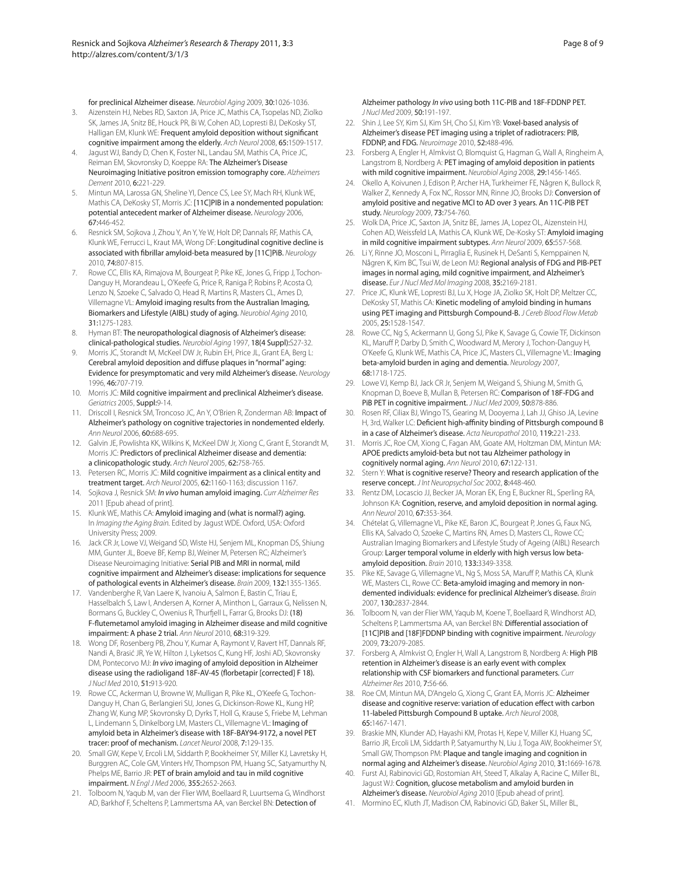for preclinical Alzheimer disease. Neurobiol Aging 2009, 30:1026-1036.

- 3. Aizenstein HJ, Nebes RD, Saxton JA, Price JC, Mathis CA, Tsopelas ND, Ziolko SK, James JA, Snitz BE, Houck PR, Bi W, Cohen AD, Lopresti BJ, DeKosky ST, Halligan EM, Klunk WE: Frequent amyloid deposition without significant cognitive impairment among the elderly. Arch Neurol 2008, 65:1509-1517.
- 4. Jagust WJ, Bandy D, Chen K, Foster NL, Landau SM, Mathis CA, Price JC, Reiman EM, Skovronsky D, Koeppe RA: The Alzheimer's Disease Neuroimaging Initiative positron emission tomography core. Alzheimers Dement 2010, 6:221-229.
- 5. Mintun MA, Larossa GN, Sheline YI, Dence CS, Lee SY, Mach RH, Klunk WE, Mathis CA, DeKosky ST, Morris JC: [11C]PIB in a nondemented population: potential antecedent marker of Alzheimer disease. Neurology 2006, 67:446-452.
- 6. Resnick SM, Sojkova J, Zhou Y, An Y, Ye W, Holt DP, Dannals RF, Mathis CA, Klunk WE, Ferrucci L, Kraut MA, Wong DF: Longitudinal cognitive decline is associated with fibrillar amyloid-beta measured by [11C]PiB. Neurology 2010, 74:807-815.
- Rowe CC, Ellis KA, Rimajova M, Bourgeat P, Pike KE, Jones G, Fripp J, Tochon-Danguy H, Morandeau L, O'Keefe G, Price R, Raniga P, Robins P, Acosta O, Lenzo N, Szoeke C, Salvado O, Head R, Martins R, Masters CL, Ames D, Villemagne VL: Amyloid imaging results from the Australian Imaging, Biomarkers and Lifestyle (AIBL) study of aging. Neurobiol Aging 2010, 31:1275-1283.
- 8. Hyman BT: The neuropathological diagnosis of Alzheimer's disease: clinical-pathological studies. Neurobiol Aging 1997, 18(4 Suppl):S27-32.
- 9. Morris JC, Storandt M, McKeel DW Jr, Rubin EH, Price JL, Grant EA, Berg L: Cerebral amyloid deposition and diffuse plaques in "normal" aging: Evidence for presymptomatic and very mild Alzheimer's disease. Neurology 1996, 46:707-719.
- 10. Morris JC: Mild cognitive impairment and preclinical Alzheimer's disease. Geriatrics 2005, Suppl:9-14.
- 11. Driscoll I, Resnick SM, Troncoso JC, An Y, O'Brien R, Zonderman AB: Impact of Alzheimer's pathology on cognitive trajectories in nondemented elderly. Ann Neurol 2006, 60:688-695.
- 12. Galvin JE, Powlishta KK, Wilkins K, McKeel DW Jr, Xiong C, Grant E, Storandt M, Morris JC: Predictors of preclinical Alzheimer disease and dementia: a clinicopathologic study. Arch Neurol 2005, 62:758-765.
- 13. Petersen RC, Morris JC: Mild cognitive impairment as a clinical entity and treatment target. Arch Neurol 2005, 62:1160-1163; discussion 1167.
- 14. Sojkova J, Resnick SM: In vivo human amyloid imaging. Curr Alzheimer Res 2011 [Epub ahead of print].
- 15. Klunk WE, Mathis CA: Amyloid imaging and (what is normal?) aging. In Imaging the Aging Brain. Edited by Jagust WDE. Oxford, USA: Oxford University Press; 2009.
- 16. Jack CR Jr, Lowe VJ, Weigand SD, Wiste HJ, Senjem ML, Knopman DS, Shiung MM, Gunter JL, Boeve BF, Kemp BJ, Weiner M, Petersen RC; Alzheimer's Disease Neuroimaging Initiative: Serial PIB and MRI in normal, mild cognitive impairment and Alzheimer's disease: implications for sequence of pathological events in Alzheimer's disease. Brain 2009, 132:1355-1365.
- 17. Vandenberghe R, Van Laere K, Ivanoiu A, Salmon E, Bastin C, Triau E, Hasselbalch S, Law I, Andersen A, Korner A, Minthon L, Garraux G, Nelissen N, Bormans G, Buckley C, Owenius R, Thurfiell L, Farrar G, Brooks DJ: (18) F-fl utemetamol amyloid imaging in Alzheimer disease and mild cognitive impairment: A phase 2 trial. Ann Neurol 2010, 68:319-329.
- 18. Wong DF, Rosenberg PB, Zhou Y, Kumar A, Raymont V, Ravert HT, Dannals RF, Nandi A, Brasić JR, Ye W, Hilton J, Lyketsos C, Kung HF, Joshi AD, Skovronsky DM, Pontecorvo MJ: In vivo imaging of amyloid deposition in Alzheimer disease using the radioligand 18F-AV-45 (florbetapir [corrected] F 18). J Nucl Med 2010, 51:913-920.
- 19. Rowe CC, Ackerman U, Browne W, Mulligan R, Pike KL, O'Keefe G, Tochon-Danguy H, Chan G, Berlangieri SU, Jones G, Dickinson-Rowe KL, Kung HP, Zhang W, Kung MP, Skovronsky D, Dyrks T, Holl G, Krause S, Friebe M, Lehman L, Lindemann S, Dinkelborg LM, Masters CL, Villemagne VL: Imaging of amyloid beta in Alzheimer's disease with 18F-BAY94-9172, a novel PET tracer: proof of mechanism. Lancet Neurol 2008, 7:129-135.
- Small GW, Kepe V, Ercoli LM, Siddarth P, Bookheimer SY, Miller KJ, Lavretsky H, Burggren AC, Cole GM, Vinters HV, Thompson PM, Huang SC, Satyamurthy N, Phelps ME, Barrio JR: PET of brain amyloid and tau in mild cognitive impairment. N Engl J Med 2006, 355:2652-2663.
- 21. Tolboom N, Yaqub M, van der Flier WM, Boellaard R, Luurtsema G, Windhorst AD, Barkhof F, Scheltens P, Lammertsma AA, van Berckel BN: Detection of
- 22. Shin J, Lee SY, Kim SJ, Kim SH, Cho SJ, Kim YB: Voxel-based analysis of Alzheimer's disease PET imaging using a triplet of radiotracers: PIB, FDDNP, and FDG. Neuroimage 2010, 52:488-496.
- 23. Forsberg A, Engler H, Almkvist O, Blomquist G, Hagman G, Wall A, Ringheim A, Langstrom B, Nordberg A: PET imaging of amyloid deposition in patients with mild cognitive impairment. Neurobiol Aging 2008, 29:1456-1465.
- 24. Okello A, Koivunen J, Edison P, Archer HA, Turkheimer FE, Någren K, Bullock R, Walker Z, Kennedy A, Fox NC, Rossor MN, Rinne JO, Brooks DJ: Conversion of amyloid positive and negative MCI to AD over 3 years. An 11C-PIB PET study. Neurology 2009, 73:754-760.
- 25. Wolk DA, Price JC, Saxton JA, Snitz BE, James JA, Lopez OL, Aizenstein HJ, Cohen AD, Weissfeld LA, Mathis CA, Klunk WE, De-Kosky ST: Amyloid imaging in mild cognitive impairment subtypes. Ann Neurol 2009, 65:557-568.
- 26. Li Y, Rinne JO, Mosconi L, Pirraglia E, Rusinek H, DeSanti S, Kemppainen N, Någren K, Kim BC, Tsui W, de Leon MJ: Regional analysis of FDG and PIB-PET images in normal aging, mild cognitive impairment, and Alzheimer's disease. Eur J Nucl Med Mol Imaging 2008, 35:2169-2181.
- 27. Price JC, Klunk WE, Lopresti BJ, Lu X, Hoge JA, Ziolko SK, Holt DP, Meltzer CC, DeKosky ST, Mathis CA: Kinetic modeling of amyloid binding in humans using PET imaging and Pittsburgh Compound-B. J Cereb Blood Flow Metab 2005, 25:1528-1547.
- 28. Rowe CC, Ng S, Ackermann U, Gong SJ, Pike K, Savage G, Cowie TF, Dickinson KL, Maruff P, Darby D, Smith C, Woodward M, Merory J, Tochon-Danguy H, O'Keefe G, Klunk WE, Mathis CA, Price JC, Masters CL, Villemagne VL: Imaging beta-amyloid burden in aging and dementia. Neurology 2007, 68:1718-1725.
- 29. Lowe VJ, Kemp BJ, Jack CR Jr, Senjem M, Weigand S, Shiung M, Smith G, Knopman D, Boeve B, Mullan B, Petersen RC: Comparison of 18F-FDG and PiB PET in cognitive impairment. *J Nucl Med 2009*, 50:878-886.
- 30. Rosen RF, Ciliax BJ, Wingo TS, Gearing M, Dooyema J, Lah JJ, Ghiso JA, Levine H, 3rd, Walker LC: Deficient high-affinity binding of Pittsburgh compound B in a case of Alzheimer's disease. Acta Neuropathol 2010, 119:221-233.
- 31. Morris JC, Roe CM, Xiong C, Fagan AM, Goate AM, Holtzman DM, Mintun MA: APOE predicts amyloid-beta but not tau Alzheimer pathology in cognitively normal aging. Ann Neurol 2010, 67:122-131.
- 32. Stern Y: What is cognitive reserve? Theory and research application of the reserve concept. J Int Neuropsychol Soc 2002, 8:448-460.
- 33. Rentz DM, Locascio JJ, Becker JA, Moran EK, Eng E, Buckner RL, Sperling RA, Johnson KA: Cognition, reserve, and amyloid deposition in normal aging. Ann Neurol 2010, 67:353-364.
- 34. Chételat G, Villemagne VL, Pike KE, Baron JC, Bourgeat P, Jones G, Faux NG, Ellis KA, Salvado O, Szoeke C, Martins RN, Ames D, Masters CL, Rowe CC; Australian Imaging Biomarkers and Lifestyle Study of Ageing (AIBL) Research Group: Larger temporal volume in elderly with high versus low betaamyloid deposition. Brain 2010, 133:3349-3358.
- 35. Pike KE, Savage G, Villemagne VL, Ng S, Moss SA, Maruff P, Mathis CA, Klunk WE, Masters CL, Rowe CC: Beta-amyloid imaging and memory in nondemented individuals: evidence for preclinical Alzheimer's disease. Brain 2007, 130:2837-2844.
- 36. Tolboom N, van der Flier WM, Yaqub M, Koene T, Boellaard R, Windhorst AD, Scheltens P, Lammertsma AA, van Berckel BN: Differential association of [11C]PIB and [18F]FDDNP binding with cognitive impairment. Neurology 2009, 73:2079-2085.
- 37. Forsberg A, Almkvist O, Engler H, Wall A, Langstrom B, Nordberg A: High PIB retention in Alzheimer's disease is an early event with complex relationship with CSF biomarkers and functional parameters. Curr Alzheimer Res 2010, 7:56-66.
- 38. Roe CM, Mintun MA, D'Angelo G, Xiong C, Grant EA, Morris JC: Alzheimer disease and cognitive reserve: variation of education effect with carbon 11-labeled Pittsburgh Compound B uptake. Arch Neurol 2008, 65:1467-1471.
- 39. Braskie MN, Klunder AD, Hayashi KM, Protas H, Kepe V, Miller KJ, Huang SC, Barrio JR, Ercoli LM, Siddarth P, Satyamurthy N, Liu J, Toga AW, Bookheimer SY, Small GW, Thompson PM: Plaque and tangle imaging and cognition in normal aging and Alzheimer's disease. Neurobiol Aging 2010, 31:1669-1678.
- 40. Furst AJ, Rabinovici GD, Rostomian AH, Steed T, Alkalay A, Racine C, Miller BL, Jagust WJ: Cognition, glucose metabolism and amyloid burden in Alzheimer's disease. Neurobiol Aging 2010 [Epub ahead of print].
- 41. Mormino EC, Kluth JT, Madison CM, Rabinovici GD, Baker SL, Miller BL,